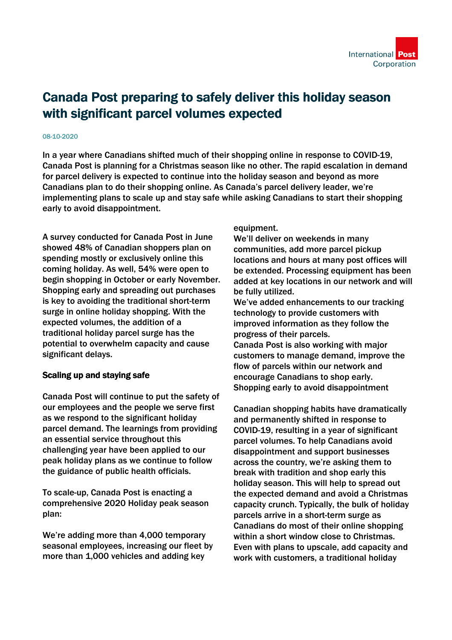## Canada Post preparing to safely deliver this holiday season with significant parcel volumes expected

## 08-10-2020

In a year where Canadians shifted much of their shopping online in response to COVID-19, Canada Post is planning for a Christmas season like no other. The rapid escalation in demand for parcel delivery is expected to continue into the holiday season and beyond as more Canadians plan to do their shopping online. As Canada's parcel delivery leader, we're implementing plans to scale up and stay safe while asking Canadians to start their shopping early to avoid disappointment.

A survey conducted for Canada Post in June showed 48% of Canadian shoppers plan on spending mostly or exclusively online this coming holiday. As well, 54% were open to begin shopping in October or early November. Shopping early and spreading out purchases is key to avoiding the traditional short-term surge in online holiday shopping. With the expected volumes, the addition of a traditional holiday parcel surge has the potential to overwhelm capacity and cause significant delays.

## Scaling up and staying safe

Canada Post will continue to put the safety of our employees and the people we serve first as we respond to the significant holiday parcel demand. The learnings from providing an essential service throughout this challenging year have been applied to our peak holiday plans as we continue to follow the guidance of public health officials.

To scale-up, Canada Post is enacting a comprehensive 2020 Holiday peak season plan:

We're adding more than 4,000 temporary seasonal employees, increasing our fleet by more than 1,000 vehicles and adding key

equipment.

We'll deliver on weekends in many communities, add more parcel pickup locations and hours at many post offices will be extended. Processing equipment has been added at key locations in our network and will be fully utilized.

We've added enhancements to our tracking technology to provide customers with improved information as they follow the progress of their parcels.

Canada Post is also working with major customers to manage demand, improve the flow of parcels within our network and encourage Canadians to shop early. Shopping early to avoid disappointment

Canadian shopping habits have dramatically and permanently shifted in response to COVID-19, resulting in a year of significant parcel volumes. To help Canadians avoid disappointment and support businesses across the country, we're asking them to break with tradition and shop early this holiday season. This will help to spread out the expected demand and avoid a Christmas capacity crunch. Typically, the bulk of holiday parcels arrive in a short-term surge as Canadians do most of their online shopping within a short window close to Christmas. Even with plans to upscale, add capacity and work with customers, a traditional holiday